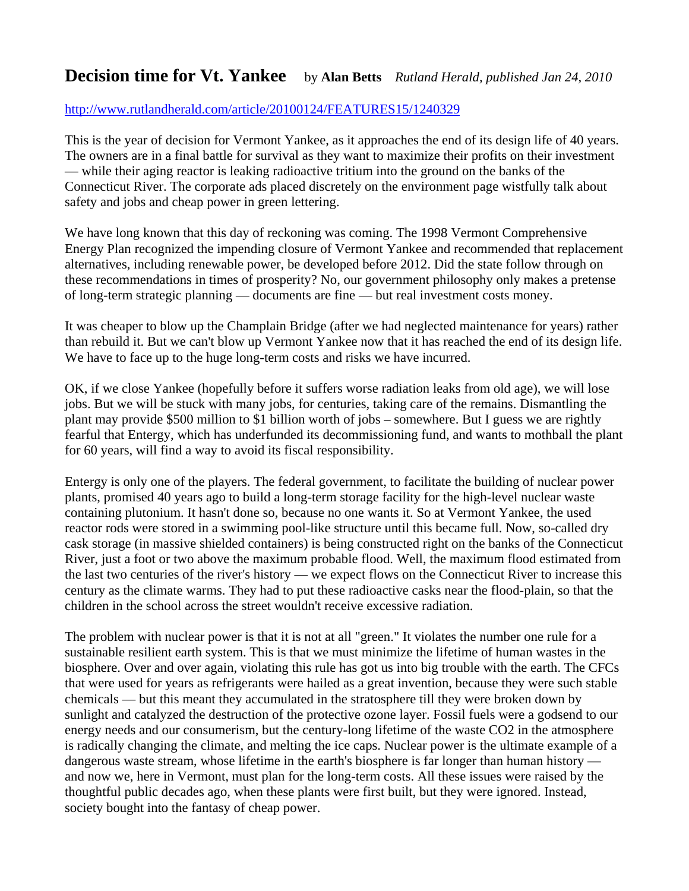## **Decision time for Vt. Yankee** by Alan Betts *Rutland Herald, published Jan 24, 2010*

## <http://www.rutlandherald.com/article/20100124/FEATURES15/1240329>

This is the year of decision for Vermont Yankee, as it approaches the end of its design life of 40 years. The owners are in a final battle for survival as they want to maximize their profits on their investment — while their aging reactor is leaking radioactive tritium into the ground on the banks of the Connecticut River. The corporate ads placed discretely on the environment page wistfully talk about safety and jobs and cheap power in green lettering.

We have long known that this day of reckoning was coming. The 1998 Vermont Comprehensive Energy Plan recognized the impending closure of Vermont Yankee and recommended that replacement alternatives, including renewable power, be developed before 2012. Did the state follow through on these recommendations in times of prosperity? No, our government philosophy only makes a pretense of long-term strategic planning — documents are fine — but real investment costs money.

It was cheaper to blow up the Champlain Bridge (after we had neglected maintenance for years) rather than rebuild it. But we can't blow up Vermont Yankee now that it has reached the end of its design life. We have to face up to the huge long-term costs and risks we have incurred.

OK, if we close Yankee (hopefully before it suffers worse radiation leaks from old age), we will lose jobs. But we will be stuck with many jobs, for centuries, taking care of the remains. Dismantling the plant may provide \$500 million to \$1 billion worth of jobs – somewhere. But I guess we are rightly fearful that Entergy, which has underfunded its decommissioning fund, and wants to mothball the plant for 60 years, will find a way to avoid its fiscal responsibility.

Entergy is only one of the players. The federal government, to facilitate the building of nuclear power plants, promised 40 years ago to build a long-term storage facility for the high-level nuclear waste containing plutonium. It hasn't done so, because no one wants it. So at Vermont Yankee, the used reactor rods were stored in a swimming pool-like structure until this became full. Now, so-called dry cask storage (in massive shielded containers) is being constructed right on the banks of the Connecticut River, just a foot or two above the maximum probable flood. Well, the maximum flood estimated from the last two centuries of the river's history — we expect flows on the Connecticut River to increase this century as the climate warms. They had to put these radioactive casks near the flood-plain, so that the children in the school across the street wouldn't receive excessive radiation.

The problem with nuclear power is that it is not at all "green." It violates the number one rule for a sustainable resilient earth system. This is that we must minimize the lifetime of human wastes in the biosphere. Over and over again, violating this rule has got us into big trouble with the earth. The CFCs that were used for years as refrigerants were hailed as a great invention, because they were such stable chemicals — but this meant they accumulated in the stratosphere till they were broken down by sunlight and catalyzed the destruction of the protective ozone layer. Fossil fuels were a godsend to our energy needs and our consumerism, but the century-long lifetime of the waste CO2 in the atmosphere is radically changing the climate, and melting the ice caps. Nuclear power is the ultimate example of a dangerous waste stream, whose lifetime in the earth's biosphere is far longer than human history and now we, here in Vermont, must plan for the long-term costs. All these issues were raised by the thoughtful public decades ago, when these plants were first built, but they were ignored. Instead, society bought into the fantasy of cheap power.